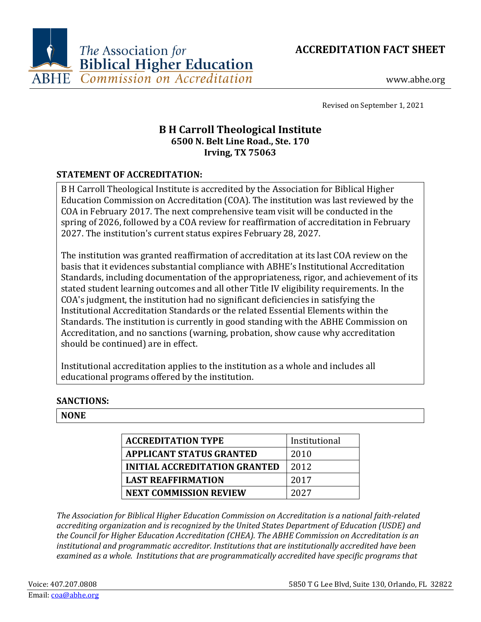



www.abhe.org

Revised on September 1, 2021

# **B H Carroll Theological Institute 6500 N. Belt Line Road., Ste. 170 Irving, TX 75063**

# **STATEMENT OF ACCREDITATION:**

B H Carroll Theological Institute is accredited by the Association for Biblical Higher Education Commission on Accreditation (COA). The institution was last reviewed by the COA in February 2017. The next comprehensive team visit will be conducted in the spring of 2026, followed by a COA review for reaffirmation of accreditation in February 2027. The institution's current status expires February 28, 2027.

The institution was granted reaffirmation of accreditation at its last COA review on the basis that it evidences substantial compliance with ABHE's Institutional Accreditation Standards, including documentation of the appropriateness, rigor, and achievement of its stated student learning outcomes and all other Title IV eligibility requirements. In the COA's judgment, the institution had no significant deficiencies in satisfying the Institutional Accreditation Standards or the related Essential Elements within the Standards. The institution is currently in good standing with the ABHE Commission on Accreditation, and no sanctions (warning, probation, show cause why accreditation should be continued) are in effect.

Institutional accreditation applies to the institution as a whole and includes all educational programs offered by the institution.

# **SANCTIONS:**

## **NONE**

| <b>ACCREDITATION TYPE</b>            | Institutional |
|--------------------------------------|---------------|
| <b>APPLICANT STATUS GRANTED</b>      | 2010          |
| <b>INITIAL ACCREDITATION GRANTED</b> | 2012          |
| <b>LAST REAFFIRMATION</b>            | 2017          |
| <b>NEXT COMMISSION REVIEW</b>        | 2027          |

*The Association for Biblical Higher Education Commission on Accreditation is a national faith-related accrediting organization and is recognized by the United States Department of Education (USDE) and the Council for Higher Education Accreditation (CHEA). The ABHE Commission on Accreditation is an institutional and programmatic accreditor. Institutions that are institutionally accredited have been examined as a whole. Institutions that are programmatically accredited have specific programs that*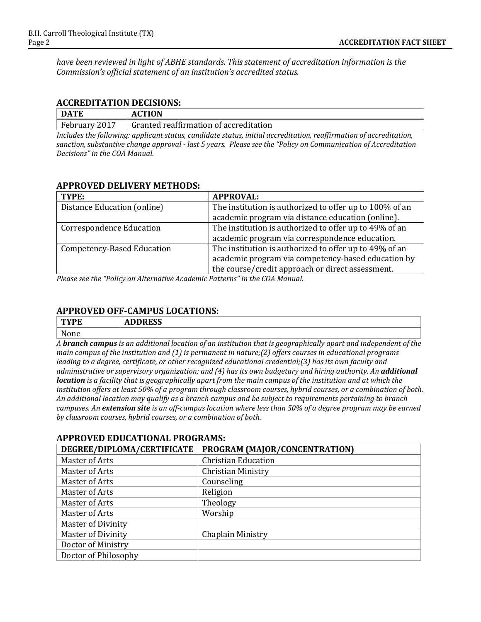*have been reviewed in light of ABHE standards. This statement of accreditation information is the Commission's official statement of an institution's accredited status.*

#### **ACCREDITATION DECISIONS:**

| DATE                                                                                                               | <b>ACTION</b>                          |  |
|--------------------------------------------------------------------------------------------------------------------|----------------------------------------|--|
| February 2017                                                                                                      | Granted reaffirmation of accreditation |  |
| Includes the following: applicant status, candidate status, initial accreditation, reaffirmation of accreditation, |                                        |  |

*sanction, substantive change approval - last 5 years. Please see the "Policy on Communication of Accreditation Decisions" in the COA Manual.*

#### **APPROVED DELIVERY METHODS:**

| TYPE:                           | <b>APPROVAL:</b>                                        |
|---------------------------------|---------------------------------------------------------|
| Distance Education (online)     | The institution is authorized to offer up to 100% of an |
|                                 | academic program via distance education (online).       |
| <b>Correspondence Education</b> | The institution is authorized to offer up to 49% of an  |
|                                 | academic program via correspondence education.          |
| Competency-Based Education      | The institution is authorized to offer up to 49% of an  |
|                                 | academic program via competency-based education by      |
|                                 | the course/credit approach or direct assessment.        |

*Please see the "Policy on Alternative Academic Patterns" in the COA Manual.*

## **APPROVED OFF-CAMPUS LOCATIONS:**

| T <sub>1</sub><br>YFE | IDDDPCC<br>$^{\prime}$<br>ADDRESS |
|-----------------------|-----------------------------------|
| None                  |                                   |

*A branch campus is an additional location of an institution that is geographically apart and independent of the main campus of the institution and (1) is permanent in nature;(2) offers courses in educational programs leading to a degree, certificate, or other recognized educational credential;(3) has its own faculty and administrative or supervisory organization; and (4) has its own budgetary and hiring authority. An additional location is a facility that is geographically apart from the main campus of the institution and at which the institution offers at least 50% of a program through classroom courses, hybrid courses, or a combination of both. An additional location may qualify as a branch campus and be subject to requirements pertaining to branch campuses. An extension site is an off-campus location where less than 50% of a degree program may be earned by classroom courses, hybrid courses, or a combination of both.*

# **APPROVED EDUCATIONAL PROGRAMS: DEGREE/DIPLOMA/CERTIFICATE PROGRAM (MAJOR/CONCENTRATION)**

| Master of Arts            | <b>Christian Education</b> |
|---------------------------|----------------------------|
| Master of Arts            | <b>Christian Ministry</b>  |
| Master of Arts            | Counseling                 |
| Master of Arts            | Religion                   |
| Master of Arts            | Theology                   |
| Master of Arts            | Worship                    |
| <b>Master of Divinity</b> |                            |
| <b>Master of Divinity</b> | Chaplain Ministry          |
| Doctor of Ministry        |                            |
| Doctor of Philosophy      |                            |